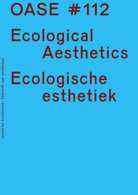## OASE #112 Ecological Aesthetics Ecologische esthetiek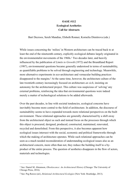## <span id="page-1-2"></span>**OASE #112 Ecological Aesthetics Call for Abstracts**

Bart Decroos, Sereh Mandias, Elsbeth Ronner, Kornelia Dimitrova (eds.)

While issues concerning the 'milieu' in Western architecture can be traced back to at least the end of the nineteenth century, explicitly ecological debates largely originated in theenvironmentalist movements of the [1](#page-1-0)960s.<sup>1</sup> Two decades later, and heavily influenced by the publication of *Limits to Growth* (1972) and the Brundtland Report (1987), environmental questions became generally understood in terms of sustainability, as quantifiable problems to be solved through engineering and technology. Meanwhile, more alternative experiments in eco-architecture and vernacular building practices disappearedto the margins.<sup>[2](#page-1-1)</sup> At the same time, however, the architecture culture of the late twentieth century increasingly focused on architecture *an sich*, insisting on autonomy for the architectural project. This culture was suspicious of 'solving' any external problems, reinforcing the idea that environmental questions were indeed merely a matter of technological solutions to be added afterwards.

<span id="page-1-3"></span>Over the past decades, in line with societal tendencies, ecological concerns have inevitably become more central to the field of architecture. In addition, the discourse of sustainability seems to have expanded towards more relational perspectives on the built environment. These relational approaches are generally characterised by a shift away from the architectural object as such and instead focus on the processes through which this object is procured, designed, produced, constructed, maintained, renovated, recycled and demolished. From this perspective, it also becomes apparent how ecological issues intersect with the social, economic and political frameworks through which the making of architecture operates. While such relational approaches can be seen as a much needed reconsideration of understanding ecological issues also as an architectural concern, more often than not, they reduce the building itself to a byproduct of the entire process. The question of aesthetics disappears in the flow of actors, materials and technologies.

<span id="page-1-0"></span><sup>&</sup>lt;sup>[1](#page-1-2)</sup> See: Daniel M. Abramson, *Obsolescence: An Architectural History* (Chicago: The University of Chicago Press, 2016).

<span id="page-1-1"></span>See: Peg Rawes (ed.), *Relational Architectural Ecologies* (New York: Routledge, 2013). [2](#page-1-3)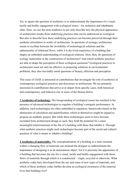Yet, to ignore the question of aesthetics is to underestimate the importance of a visual, tactile and bodily engagement with ecological issues—for architects and inhabitants alike. Here, we use the term aesthetics to not only describe how the physical appearance of architecture results from underlying practices that can be understood as ecological. But also to describe how these underlying practices can become perceived through their aesthetic articulation in works of architecture. In questions of ecology, architecture seems to oscillate between the invisibility of technological solutions and the ephemerality of relational flows, while it is the lived experience of a building that shapes an embodied understanding of ecological relations. How, then, do questions of ecology materialise in the construction of architecture? And which aesthetic practices are able to shape the perception of these ecological questions? Ecological practices in architecture must not only be effective in proposing solutions to environmental problems, they also inevitably entail questions of beauty, affection and perception.

This issue of *OASE* is interested in contributions that investigate the role of aesthetics in contemporary ecological practices and discourses in architecture. We are primarily interested in contributions that arrive at or depart from specific cases, both historical and contemporary, and linked to one or more of the themes below.

**1 Aesthetics of technology.** The foregrounding of ecological issues has resulted in the presence of advanced technologies to regulate a building's energetic performance. In addition, such technologies are often embedded in regulatory frameworks based on the abstraction of calculation and quantification, which in themselves might be argued to propose an aesthetic project. But while these technologies seem to have become excluded from architectural design as such, they hold the potential for a more meaningful intertwinement of the life of a building with those that inhabit it. Through what aesthetic practices might such technologies become part of the social and cultural question of what it means to inhabit a building?

**2 Aesthetics of materiality.** The conceptualisation of a building as a mere moment within a changing flow of materials can mislead the designer to underestimate the importance of designing it as an autonomous object. Yet it is precisely the appearance of a building that becomes the site for a visual, tactile and bodily engagement with those flows of materials through which it is constructed – virgin, recycled or otherwise. What aesthetic codes have developed from the use and reuse of new types of materials, and which of these aesthetic codes further develop an ecological awareness of the material lives that buildings live?